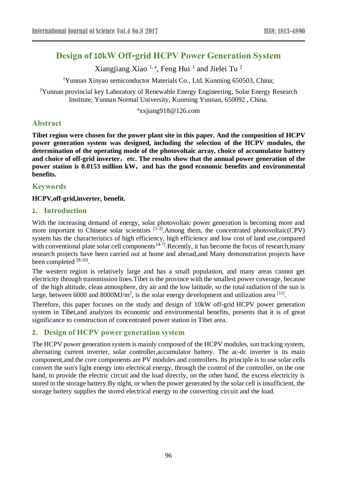# **Design of 10kW Off-grid HCPV Power Generation System**

Xiangjiang Xiao<sup>1, a</sup>, Feng Hui<sup>1</sup> and Jielei Tu<sup>2</sup>

<sup>1</sup>Yunnan Xinyao semiconductor Materials Co., Ltd. Kunming 650503, China;

 $2$ Yunnan provincial key Laboratory of Renewable Energy Engineering, Solar Energy Research Institute, Yunnan Normal University, Kunming Yunnan, 650092 , China.

a xxjiang918@126.com

# **Abstract**

**Tibet region were chosen for the power plant site in this paper. And the composition of HCPV power generation system was designed, including the selection of the HCPV modules, the determination of the operating mode of the photovoltaic array, choice of accumulator battery and choice of off-grid inverter**,**etc. The results show that the annual power generation of the power station is 0.0153 million kW**,**and has the good economic benefits and environmental benefits.**

## **Keywords**

#### **HCPV,off-grid,inverter, benefit.**

#### **1. Introduction**

With the increasing demand of energy, solar photovoltaic power generation is becoming more and more important to Chinese solar scientists <sup>[1-3]</sup>. Among them, the concentrated photovoltaic(CPV) system has the characteristics of high efficiency, high efficiency and low cost of land use,compared with conventional plate solar cell components  $[4-7]$ . Recently, it has become the focus of research, many research projects have been carried out at home and abroad,and Many demonstration projects have been completed [8-10].

The western region is relatively large and has a small population, and many areas cannot get electricity through transmission lines.Tibet is the province with the smallest power coverage, because of the high altitude, clean atmosphere, dry air and the low latitude, so the total radiation of the sun is large, between 6000 and 8000MJ/m<sup>2</sup>, is the solar energy development and utilization area  $^{[11]}$ .

Therefore, this paper focuses on the study and design of 10kW off-grid HCPV power generation system in Tibet,and analyzes its economic and environmental benefits, [presents](http://www.so.com/link?url=http%3A%2F%2Fdict.youdao.com%2Fsearch%3Fq%3Dpresent%26keyfrom%3Dhao360&q=present&ts=1499417992&t=fecbaa26b9d8832421d95903613fc68) that it is of great significance to construction of concentrated power station in Tibet area.

### **2. Design of HCPV power generation system**

The HCPV power generation system is mainly composed of the HCPV modules, sun tracking system, alternating current inverter, solar controller,accumulator battery. The ac-dc inverter is its main component,and the core components are PV modules and controllers. Its principle is to use solar cells convert the sun's light energy into electrical energy, through the control of the controller, on the one hand, to provide the electric circuit and the load directly, on the other hand, the excess electricity is stored in the storage battery.By night, or when the power generated by the solar cell is insufficient, the storage battery supplies the stored electrical energy to the converting circuit and the load.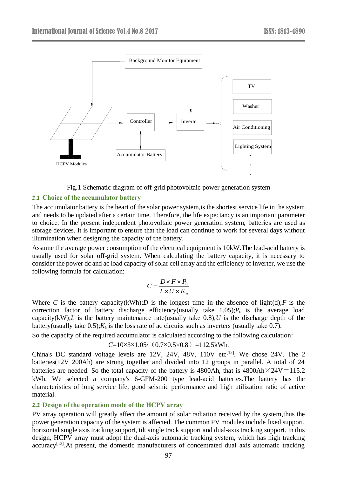

Fig.1 Schematic diagram of off-grid photovoltaic power generation system

#### **2.1 Choice of the accumulator battery**

The accumulator battery is the heart of the solar power system,is the shortest service life in the system and needs to be updated after a certain time. Therefore, the life expectancy is an important parameter to choice. In the present independent photovoltaic power generation system, batteries are used as storage devices. It is important to ensure that the load can continue to work for several days without illumination when designing the capacity of the battery.

Assume the average power consumption of the electrical equipment is 10kW.The lead-acid battery is usually used for solar off-grid system. When calculating the battery capacity, it is necessary to consider the power dc and ac load capacity of solar cell array and the efficiency of inverter, we use the following formula for calculation:

$$
C = \frac{D \times F \times P_0}{L \times U \times K_a}
$$

Where *C* is the battery capacity(kWh);*D* is the longest time in the absence of light(d);*F* is the correction factor of battery discharge efficiency(usually take  $1.05$ ); $P_0$  is the average load capacity(kW); $L$  is the battery maintenance rate(usually take 0.8); $U$  is the discharge depth of the battery(usually take  $0.5$ ); $K_a$  is the loss rate of ac circuits such as inverters (usually take  $0.7$ ).

So the capacity of the required accumulator is calculated according to the following calculation:

$$
C=10\times3\times1.05/(0.7\times0.5\times0.8) =112.5
$$
kWh.

China's DC standard voltage levels are  $12V$ ,  $24V$ ,  $48V$ ,  $110V$  etc<sup> $[12]$ </sup>. We chose  $24V$ . The  $2$ batteries(12V 200Ah) are strung together and divided into 12 groups in parallel. A total of 24 batteries are needed. So the total capacity of the battery is 4800Ah, that is  $4800 \text{Ah} \times 24 \text{V} = 115.2$ kWh. We selected a company's 6-GFM-200 type lead-acid batteries.The battery has the characteristics of long service life, good seismic performance and high utilization ratio of active material.

#### **2.2 Design of the operation mode of the HCPV array**

PV array operation will greatly affect the amount of solar radiation received by the system,thus the power generation capacity of the system is affected. The common PV modules include fixed support, horizontal single axis tracking support, tilt single track support and dual-axis tracking support. In this design, HCPV array must adopt the dual-axis automatic tracking system, which has high tracking accuracy<sup>[13]</sup>. At present, the domestic manufacturers of concentrated dual axis automatic tracking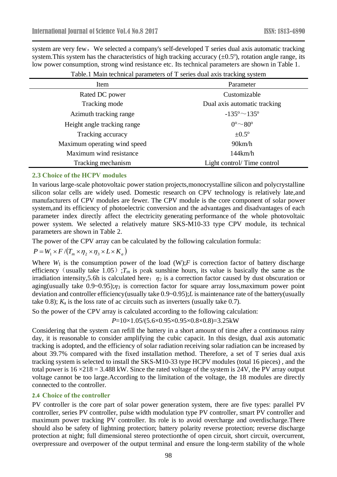system are very few, We selected a company's self-developed T series dual axis automatic tracking system. This system has the characteristics of high tracking accuracy  $(\pm 0.5^{\circ})$ , rotation angle range, its low power consumption, strong wind resistance etc. Its technical parameters are shown in Table 1.

| Item                         | Parameter                       |  |
|------------------------------|---------------------------------|--|
| Rated DC power               | Customizable                    |  |
| Tracking mode                | Dual axis automatic tracking    |  |
| Azimuth tracking range       | $-135^{\circ} \sim 135^{\circ}$ |  |
| Height angle tracking range  | $0^{\circ}$ ~ 80 $^{\circ}$     |  |
| Tracking accuracy            | $\pm 0.5^\circ$                 |  |
| Maximum operating wind speed | 90km/h                          |  |
| Maximum wind resistance      | 144km/h                         |  |
| Tracking mechanism           | Light control/Time control      |  |

Table.1 [Main](app:ds:main) [technical](app:ds:technical) [parameters](app:ds:parameters) of T series dual axis tracking system

#### **2.3 Choice of the HCPV modules**

In various large-scale photovoltaic power station projects,monocrystalline silicon and polycrystalline silicon solar cells are widely used. Domestic research on CPV technology is relatively late,and manufacturers of CPV modules are fewer. The CPV module is the core component of solar power system,and its efficiency of photoelectric conversion and the advantages and disadvantages of each parameter index directly affect the electricity generating performance of the whole photovoltaic power system. We selected a relatively mature SKS-M10-33 type CPV module, its technical parameters are shown in Table 2.

The power of the CPV array can be calculated by the following calculation formula:

$$
P = W_1 \times F / (T_m \times \eta_2 \times \eta_3 \times L \times K_a)
$$

Where  $W_1$  is the consumption power of the load (W); $F$  is correction factor of battery discharge efficiency (usually take 1.05); $T_m$  is peak sunshine hours, its value is basically the same as the irradiation intensity, 5.6h is calculated here;  $\eta_2$  is a correction factor caused by dust obscuration or aging(usually take 0.9~0.95);*η*<sup>3</sup> is correction factor for square array loss,maximum power point deviation and controller efficiency(usually take 0.9~0.95);*L* is maintenance rate of the battery(usually take  $(0.8)$ ;  $K_a$  is the loss rate of ac circuits such as inverters (usually take  $(0.7)$ .

So the power of the CPV array is calculated according to the following calculation:

*P*=10×1.05/(5.6×0.95×0.95×0.8×0.8)=3.25kW

Considering that the system can refill the battery in a short amount of time after a continuous rainy day, it is reasonable to consider amplifying the cubic capacit. In this design, dual axis automatic tracking is adopted, and the efficiency of solar radiation receiving solar radiation can be increased by about 39.7% compared with the fixed installation method. Therefore, a set of T series dual axis tracking system is selected to install the SKS-M10-33 type HCPV modules (total 16 pieces) , and the total power is  $16 \times 218 = 3.488$  kW. Since the rated voltage of the system is 24V, the PV array output voltage cannot be too large.According to the limitation of the voltage, the 18 modules are directly connected to the controller.

#### **2.4 Choice of the controller**

PV controller is the core part of solar power generation system, there are five types: parallel PV controller, series PV controller, pulse width modulation type PV controller, smart PV controller and maximum power tracking PV controller. Its role is to avoid overcharge and overdischarge.There should also be safety of lightning protection; battery polarity reverse protection; reverse discharge protection at night; full dimensional stereo protectionthe of open circuit, short circuit, overcurrent, overpressure and overpower of the output terminal and ensure the long-term stability of the whole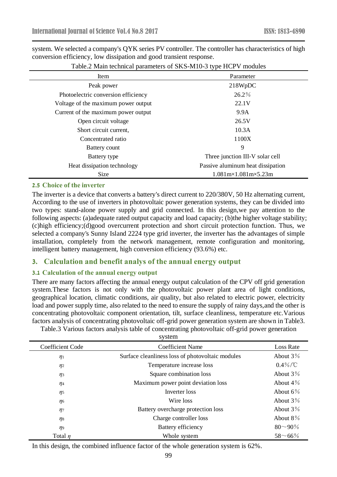system. We selected a company's QYK series PV controller. The controller has characteristics of high conversion efficiency, low dissipation and good transient response.

| Item                                                                | Parameter                         |  |
|---------------------------------------------------------------------|-----------------------------------|--|
| Peak power                                                          | 218WpDC                           |  |
| Photoelectric conversion efficiency                                 | $26.2\%$                          |  |
| Voltage of the maximum power output                                 | 22.1V                             |  |
| Current of the maximum power output                                 | 9.9A                              |  |
| Open circuit voltage                                                | 26.5V                             |  |
| Short circuit current,                                              | 10.3A                             |  |
| Concentrated ratio                                                  | 1100X                             |  |
| Battery count                                                       | 9                                 |  |
| Battery type                                                        | Three junction III-V solar cell   |  |
| Heat dissipation technology                                         | Passive aluminum heat dissipation |  |
| Size<br>$1.081 \text{m} \times 1.081 \text{m} \times 5.23 \text{m}$ |                                   |  |

Table.2 [Main](app:ds:main) [technical](app:ds:technical) [parameters](app:ds:parameters) of SKS-M10-3 type HCPV modules

#### **2.5 Choice of the inverter**

The inverter is a device that converts a battery's direct current to 220/380V, 50 Hz alternating current, According to the use of inverters in photovoltaic power generation systems, they can be divided into two types: stand-alone power supply and grid connected. In this design,we pay attention to the following aspects: (a)adequate rated output capacity and load capacity; (b)the higher voltage stability; (c)high efficiency;(d)good overcurrent protection and short circuit protection function. Thus, we selected a company's Sunny Island 2224 type grid inverter, the inverter has the advantages of simple installation, completely from the network management, remote configuration and monitoring, intelligent battery management, high conversion efficiency (93.6%) etc.

### **3. Calculation and benefit analys of the annual energy output**

### **3.1 Calculation of the annual energy output**

There are many factors affecting the annual energy output calculation of the CPV off grid generation system.These factors is not only with the photovoltaic power plant area of light conditions, geographical location, climatic conditions, air quality, but also related to electric power, electricity load and power supply time, also related to the need to ensure the supply of rainy days, and the other is concentrating photovoltaic component orientation, tilt, surface cleanliness, temperature etc.Various factors analysis of concentrating photovoltaic off-grid power generation system are shown in Table3.

Table.3 Various factors analysis table of concentrating photovoltaic off-grid power generation

| system           |                                                  |                   |  |
|------------------|--------------------------------------------------|-------------------|--|
| Coefficient Code | <b>Coefficient Name</b>                          | <b>Loss Rate</b>  |  |
| $\eta_1$         | Surface cleanliness loss of photovoltaic modules | About $3\%$       |  |
| $\eta_2$         | Temperature increase loss                        | $0.4\%/^{\circ}C$ |  |
| $\eta_3$         | Square combination loss                          | About $3\%$       |  |
| $\eta_4$         | Maximum power point deviation loss               | About $4\%$       |  |
| $\eta_5$         | Inverter loss                                    | About $6\%$       |  |
| $\eta_6$         | Wire loss                                        | About $3\%$       |  |
| $\eta_7$         | Battery overcharge protection loss               | About $3\%$       |  |
| $\eta_8$         | Charge controller loss                           | About $8\%$       |  |
| $\eta_9$         | Battery efficiency                               | $80 - 90\%$       |  |
| Total $\eta$     | Whole system                                     | $58^{\sim}66\%$   |  |

In this design, the combined influence factor of the whole generation system is 62%.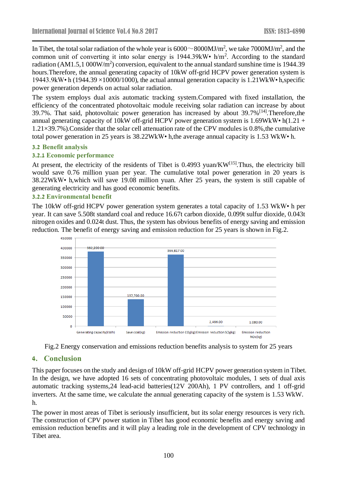In Tibet, the total solar radiation of the whole year is  $6000 \sim 8000$ MJ/m<sup>2</sup>, we take 7000MJ/m<sup>2</sup>, and the common unit of converting it into solar energy is  $1944.39$ kW•  $h/m^2$ . According to the standard radiation (AM1.5,1 000W/m<sup>2</sup>) conversion, equivalent to the annual standard sunshine time is 1944.39 hours.Therefore, the annual generating capacity of 10kW off-grid HCPV power generation system is 19443.9kW• h (1944.39 ×10000/1000), the actual annual generation capacity is 1.21WkW• h,specific power generation depends on actual solar radiation.

The system employs dual axis automatic tracking system.Compared with fixed installation, the efficiency of the concentrated photovoltaic module receiving solar radiation can increase by about 39.7%. That said, photovoltaic power generation has increased by about 39.7%<sup>[14]</sup>. Therefore, the annual generating capacity of 10kW off-grid HCPV power generation system is 1.69WkW• h(1.21 + 1.21×39.7%).Consider that the solar cell attenuation rate of the CPV modules is 0.8%,the cumulative total power generation in 25 years is 38.22WkW• h,the average annual capacity is 1.53 WkW• h.

#### **3.2 Benefit analysis**

#### **3.2.1 Economic performance**

At present, the electricity of the residents of Tibet is  $0.4993$  yuan/KW<sup>[15]</sup>. Thus, the electricity bill would save 0.76 million yuan per year. The cumulative total power generation in 20 years is 38.22WkW• h,which will save 19.08 million yuan. After 25 years, the system is still capable of generating electricity and has good economic benefits.

#### **3.2.2 Environmental benefit**

The 10kW off-grid HCPV power generation system generates a total capacity of 1.53 WkW• h per year. It can save 5.508t standard coal and reduce 16.67t carbon dioxide, 0.099t sulfur dioxide, 0.043t nitrogen oxides and 0.024t dust. Thus, the system has obvious benefits of energy saving and emission reduction. The benefit of energy saving and emission reduction for 25 years is shown in Fig.2.





# **4. Conclusion**

This paper focuses on the study and design of 10kW off-grid HCPV power generation system in Tibet. In the design, we have adopted 16 sets of concentrating photovoltaic modules, 1 sets of dual axis automatic tracking systems,24 lead-acid batteries(12V 200Ah), 1 PV controllers, and 1 off-grid inverters. At the same time, we calculate the annual generating capacity of the system is 1.53 WkW. h.

The power in most areas of Tibet is seriously insufficient, but its solar energy resources is very rich. The construction of CPV power station in Tibet has good economic benefits and energy saving and emission reduction benefits and it will play a leading role in the development of CPV technology in Tibet area.